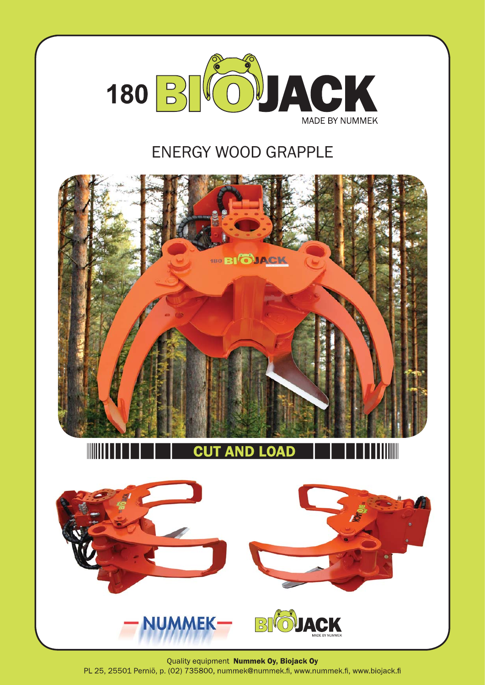

## ENERGY WOOD GRAPPLE



Quality equipment Nummek Oy, Biojack Oy PL 25, 25501 Perniö, p. (02) 735800, nummek@nummek.fi, www.nummek.fi, www.biojack.fi